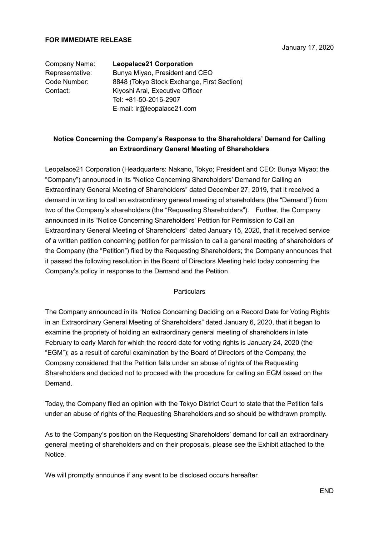### **FOR IMMEDIATE RELEASE**

January 17, 2020

# Company Name: **Leopalace21 Corporation**

Representative: Bunya Miyao, President and CEO Code Number: 8848 (Tokyo Stock Exchange, First Section) Contact: Kiyoshi Arai, Executive Officer Tel: +81-50-2016-2907 E-mail: ir@leopalace21.com

# **Notice Concerning the Company's Response to the Shareholders' Demand for Calling an Extraordinary General Meeting of Shareholders**

Leopalace21 Corporation (Headquarters: Nakano, Tokyo; President and CEO: Bunya Miyao; the "Company") announced in its "Notice Concerning Shareholders' Demand for Calling an Extraordinary General Meeting of Shareholders" dated December 27, 2019, that it received a demand in writing to call an extraordinary general meeting of shareholders (the "Demand") from two of the Company's shareholders (the "Requesting Shareholders"). Further, the Company announced in its "Notice Concerning Shareholders' Petition for Permission to Call an Extraordinary General Meeting of Shareholders" dated January 15, 2020, that it received service of a written petition concerning petition for permission to call a general meeting of shareholders of the Company (the "Petition") filed by the Requesting Shareholders; the Company announces that it passed the following resolution in the Board of Directors Meeting held today concerning the Company's policy in response to the Demand and the Petition.

### **Particulars**

The Company announced in its "Notice Concerning Deciding on a Record Date for Voting Rights in an Extraordinary General Meeting of Shareholders" dated January 6, 2020, that it began to examine the propriety of holding an extraordinary general meeting of shareholders in late February to early March for which the record date for voting rights is January 24, 2020 (the "EGM"); as a result of careful examination by the Board of Directors of the Company, the Company considered that the Petition falls under an abuse of rights of the Requesting Shareholders and decided not to proceed with the procedure for calling an EGM based on the **Demand** 

Today, the Company filed an opinion with the Tokyo District Court to state that the Petition falls under an abuse of rights of the Requesting Shareholders and so should be withdrawn promptly.

As to the Company's position on the Requesting Shareholders' demand for call an extraordinary general meeting of shareholders and on their proposals, please see the Exhibit attached to the Notice.

We will promptly announce if any event to be disclosed occurs hereafter.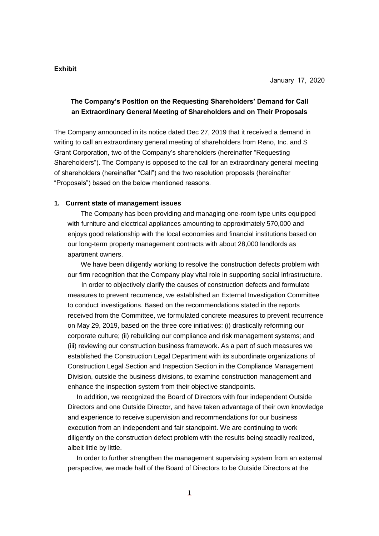### **Exhibit**

## **The Company's Position on the Requesting Shareholders' Demand for Call an Extraordinary General Meeting of Shareholders and on Their Proposals**

The Company announced in its notice dated Dec 27, 2019 that it received a demand in writing to call an extraordinary general meeting of shareholders from Reno, Inc. and S Grant Corporation, two of the Company's shareholders (hereinafter "Requesting Shareholders"). The Company is opposed to the call for an extraordinary general meeting of shareholders (hereinafter "Call") and the two resolution proposals (hereinafter "Proposals") based on the below mentioned reasons.

#### **1. Current state of management issues**

The Company has been providing and managing one-room type units equipped with furniture and electrical appliances amounting to approximately 570,000 and enjoys good relationship with the local economies and financial institutions based on our long-term property management contracts with about 28,000 landlords as apartment owners.

We have been diligently working to resolve the construction defects problem with our firm recognition that the Company play vital role in supporting social infrastructure.

In order to objectively clarify the causes of construction defects and formulate measures to prevent recurrence, we established an External Investigation Committee to conduct investigations. Based on the recommendations stated in the reports received from the Committee, we formulated concrete measures to prevent recurrence on May 29, 2019, based on the three core initiatives: (i) drastically reforming our corporate culture; (ii) rebuilding our compliance and risk management systems; and (iii) reviewing our construction business framework. As a part of such measures we established the Construction Legal Department with its subordinate organizations of Construction Legal Section and Inspection Section in the Compliance Management Division, outside the business divisions, to examine construction management and enhance the inspection system from their objective standpoints.

In addition, we recognized the Board of Directors with four independent Outside Directors and one Outside Director, and have taken advantage of their own knowledge and experience to receive supervision and recommendations for our business execution from an independent and fair standpoint. We are continuing to work diligently on the construction defect problem with the results being steadily realized, albeit little by little.

In order to further strengthen the management supervising system from an external perspective, we made half of the Board of Directors to be Outside Directors at the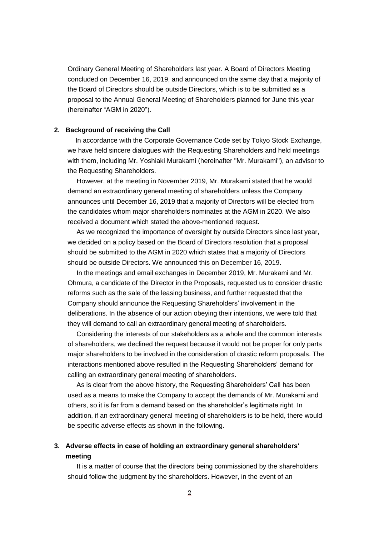Ordinary General Meeting of Shareholders last year. A Board of Directors Meeting concluded on December 16, 2019, and announced on the same day that a majority of the Board of Directors should be outside Directors, which is to be submitted as a proposal to the Annual General Meeting of Shareholders planned for June this year (hereinafter "AGM in 2020").

#### **2. Background of receiving the Call**

In accordance with the Corporate Governance Code set by Tokyo Stock Exchange, we have held sincere dialogues with the Requesting Shareholders and held meetings with them, including Mr. Yoshiaki Murakami (hereinafter "Mr. Murakami"), an advisor to the Requesting Shareholders.

However, at the meeting in November 2019, Mr. Murakami stated that he would demand an extraordinary general meeting of shareholders unless the Company announces until December 16, 2019 that a majority of Directors will be elected from the candidates whom major shareholders nominates at the AGM in 2020. We also received a document which stated the above-mentioned request.

As we recognized the importance of oversight by outside Directors since last year, we decided on a policy based on the Board of Directors resolution that a proposal should be submitted to the AGM in 2020 which states that a majority of Directors should be outside Directors. We announced this on December 16, 2019.

In the meetings and email exchanges in December 2019, Mr. Murakami and Mr. Ohmura, a candidate of the Director in the Proposals, requested us to consider drastic reforms such as the sale of the leasing business, and further requested that the Company should announce the Requesting Shareholders' involvement in the deliberations. In the absence of our action obeying their intentions, we were told that they will demand to call an extraordinary general meeting of shareholders.

Considering the interests of our stakeholders as a whole and the common interests of shareholders, we declined the request because it would not be proper for only parts major shareholders to be involved in the consideration of drastic reform proposals. The interactions mentioned above resulted in the Requesting Shareholders' demand for calling an extraordinary general meeting of shareholders.

As is clear from the above history, the Requesting Shareholders' Call has been used as a means to make the Company to accept the demands of Mr. Murakami and others, so it is far from a demand based on the shareholder's legitimate right. In addition, if an extraordinary general meeting of shareholders is to be held, there would be specific adverse effects as shown in the following.

## **3. Adverse effects in case of holding an extraordinary general shareholders' meeting**

It is a matter of course that the directors being commissioned by the shareholders should follow the judgment by the shareholders. However, in the event of an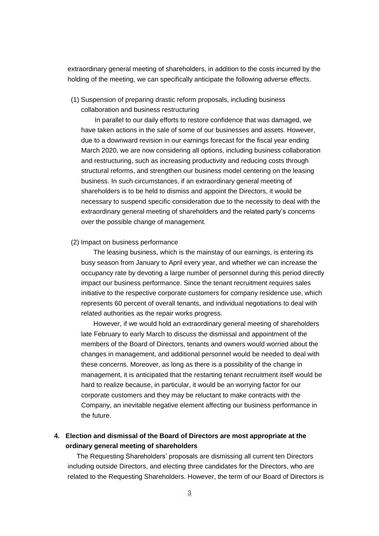extraordinary general meeting of shareholders, in addition to the costs incurred by the holding of the meeting, we can specifically anticipate the following adverse effects.

(1) Suspension of preparing drastic reform proposals, including business collaboration and business restructuring

In parallel to our daily efforts to restore confidence that was damaged, we have taken actions in the sale of some of our businesses and assets. However, due to a downward revision in our earnings forecast for the fiscal year ending March 2020, we are now considering all options, including business collaboration and restructuring, such as increasing productivity and reducing costs through structural reforms, and strengthen our business model centering on the leasing business. In such circumstances, if an extraordinary general meeting of shareholders is to be held to dismiss and appoint the Directors, it would be necessary to suspend specific consideration due to the necessity to deal with the extraordinary general meeting of shareholders and the related party's concerns over the possible change of management.

#### (2) Impact on business performance

The leasing business, which is the mainstay of our earnings, is entering its busy season from January to April every year, and whether we can increase the occupancy rate by devoting a large number of personnel during this period directly impact our business performance. Since the tenant recruitment requires sales initiative to the respective corporate customers for company residence use, which represents 60 percent of overall tenants, and individual negotiations to deal with related authorities as the repair works progress.

However, if we would hold an extraordinary general meeting of shareholders late February to early March to discuss the dismissal and appointment of the members of the Board of Directors, tenants and owners would worried about the changes in management, and additional personnel would be needed to deal with these concerns. Moreover, as long as there is a possibility of the change in management, it is anticipated that the restarting tenant recruitment itself would be hard to realize because, in particular, it would be an worrying factor for our corporate customers and they may be reluctant to make contracts with the Company, an inevitable negative element affecting our business performance in the future.

## **4. Election and dismissal of the Board of Directors are most appropriate at the ordinary general meeting of shareholders**

The Requesting Shareholders' proposals are dismissing all current ten Directors including outside Directors, and electing three candidates for the Directors, who are related to the Requesting Shareholders. However, the term of our Board of Directors is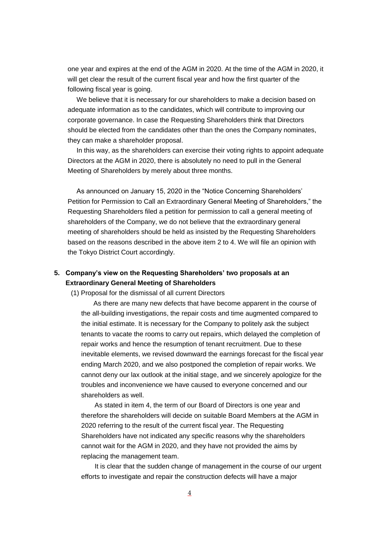one year and expires at the end of the AGM in 2020. At the time of the AGM in 2020, it will get clear the result of the current fiscal year and how the first quarter of the following fiscal year is going.

We believe that it is necessary for our shareholders to make a decision based on adequate information as to the candidates, which will contribute to improving our corporate governance. In case the Requesting Shareholders think that Directors should be elected from the candidates other than the ones the Company nominates, they can make a shareholder proposal.

In this way, as the shareholders can exercise their voting rights to appoint adequate Directors at the AGM in 2020, there is absolutely no need to pull in the General Meeting of Shareholders by merely about three months.

As announced on January 15, 2020 in the "Notice Concerning Shareholders' Petition for Permission to Call an Extraordinary General Meeting of Shareholders," the Requesting Shareholders filed a petition for permission to call a general meeting of shareholders of the Company, we do not believe that the extraordinary general meeting of shareholders should be held as insisted by the Requesting Shareholders based on the reasons described in the above item 2 to 4. We will file an opinion with the Tokyo District Court accordingly.

# **5. Company's view on the Requesting Shareholders' two proposals at an Extraordinary General Meeting of Shareholders**

(1) Proposal for the dismissal of all current Directors

As there are many new defects that have become apparent in the course of the all-building investigations, the repair costs and time augmented compared to the initial estimate. It is necessary for the Company to politely ask the subject tenants to vacate the rooms to carry out repairs, which delayed the completion of repair works and hence the resumption of tenant recruitment. Due to these inevitable elements, we revised downward the earnings forecast for the fiscal year ending March 2020, and we also postponed the completion of repair works. We cannot deny our lax outlook at the initial stage, and we sincerely apologize for the troubles and inconvenience we have caused to everyone concerned and our shareholders as well.

As stated in item 4, the term of our Board of Directors is one year and therefore the shareholders will decide on suitable Board Members at the AGM in 2020 referring to the result of the current fiscal year. The Requesting Shareholders have not indicated any specific reasons why the shareholders cannot wait for the AGM in 2020, and they have not provided the aims by replacing the management team.

It is clear that the sudden change of management in the course of our urgent efforts to investigate and repair the construction defects will have a major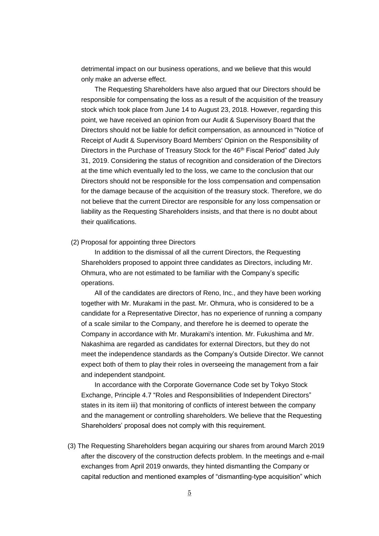detrimental impact on our business operations, and we believe that this would only make an adverse effect.

The Requesting Shareholders have also argued that our Directors should be responsible for compensating the loss as a result of the acquisition of the treasury stock which took place from June 14 to August 23, 2018. However, regarding this point, we have received an opinion from our Audit & Supervisory Board that the Directors should not be liable for deficit compensation, as announced in "Notice of Receipt of Audit & Supervisory Board Members' Opinion on the Responsibility of Directors in the Purchase of Treasury Stock for the 46th Fiscal Period" dated July 31, 2019. Considering the status of recognition and consideration of the Directors at the time which eventually led to the loss, we came to the conclusion that our Directors should not be responsible for the loss compensation and compensation for the damage because of the acquisition of the treasury stock. Therefore, we do not believe that the current Director are responsible for any loss compensation or liability as the Requesting Shareholders insists, and that there is no doubt about their qualifications.

#### (2) Proposal for appointing three Directors

In addition to the dismissal of all the current Directors, the Requesting Shareholders proposed to appoint three candidates as Directors, including Mr. Ohmura, who are not estimated to be familiar with the Company's specific operations.

All of the candidates are directors of Reno, Inc., and they have been working together with Mr. Murakami in the past. Mr. Ohmura, who is considered to be a candidate for a Representative Director, has no experience of running a company of a scale similar to the Company, and therefore he is deemed to operate the Company in accordance with Mr. Murakami's intention. Mr. Fukushima and Mr. Nakashima are regarded as candidates for external Directors, but they do not meet the independence standards as the Company's Outside Director. We cannot expect both of them to play their roles in overseeing the management from a fair and independent standpoint.

In accordance with the Corporate Governance Code set by Tokyo Stock Exchange, Principle 4.7 "Roles and Responsibilities of Independent Directors" states in its item iii) that monitoring of conflicts of interest between the company and the management or controlling shareholders. We believe that the Requesting Shareholders' proposal does not comply with this requirement.

(3) The Requesting Shareholders began acquiring our shares from around March 2019 after the discovery of the construction defects problem. In the meetings and e-mail exchanges from April 2019 onwards, they hinted dismantling the Company or capital reduction and mentioned examples of "dismantling-type acquisition" which